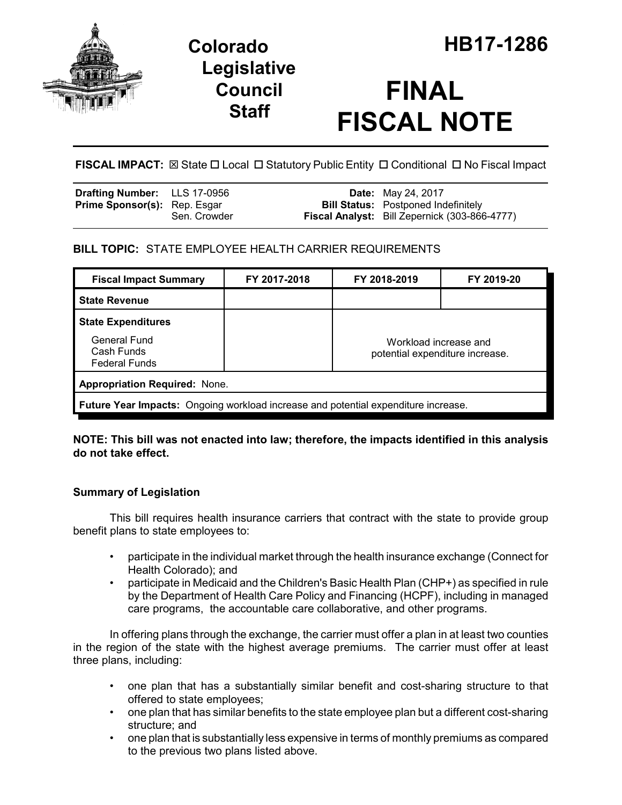

## **Legislative Council Staff**

# **FINAL FISCAL NOTE**

**FISCAL IMPACT:** ⊠ State □ Local □ Statutory Public Entity □ Conditional □ No Fiscal Impact

| <b>Drafting Number:</b> LLS 17-0956 |              | <b>Date:</b> May 24, 2017                                                                          |
|-------------------------------------|--------------|----------------------------------------------------------------------------------------------------|
| <b>Prime Sponsor(s):</b> Rep. Esgar | Sen. Crowder | <b>Bill Status:</b> Postponed Indefinitely<br><b>Fiscal Analyst:</b> Bill Zepernick (303-866-4777) |
|                                     |              |                                                                                                    |

## **BILL TOPIC:** STATE EMPLOYEE HEALTH CARRIER REQUIREMENTS

| <b>Fiscal Impact Summary</b>                                                       | FY 2017-2018 | FY 2018-2019                                             | FY 2019-20 |  |  |  |
|------------------------------------------------------------------------------------|--------------|----------------------------------------------------------|------------|--|--|--|
| <b>State Revenue</b>                                                               |              |                                                          |            |  |  |  |
| <b>State Expenditures</b>                                                          |              |                                                          |            |  |  |  |
| General Fund<br>Cash Funds<br><b>Federal Funds</b>                                 |              | Workload increase and<br>potential expenditure increase. |            |  |  |  |
| <b>Appropriation Required: None.</b>                                               |              |                                                          |            |  |  |  |
| Future Year Impacts: Ongoing workload increase and potential expenditure increase. |              |                                                          |            |  |  |  |

### **NOTE: This bill was not enacted into law; therefore, the impacts identified in this analysis do not take effect.**

## **Summary of Legislation**

This bill requires health insurance carriers that contract with the state to provide group benefit plans to state employees to:

- participate in the individual market through the health insurance exchange (Connect for Health Colorado); and
- participate in Medicaid and the Children's Basic Health Plan (CHP+) as specified in rule by the Department of Health Care Policy and Financing (HCPF), including in managed care programs, the accountable care collaborative, and other programs.

In offering plans through the exchange, the carrier must offer a plan in at least two counties in the region of the state with the highest average premiums. The carrier must offer at least three plans, including:

- one plan that has a substantially similar benefit and cost-sharing structure to that offered to state employees;
- one plan that has similar benefits to the state employee plan but a different cost-sharing structure; and
- one plan that is substantially less expensive in terms of monthly premiums as compared to the previous two plans listed above.